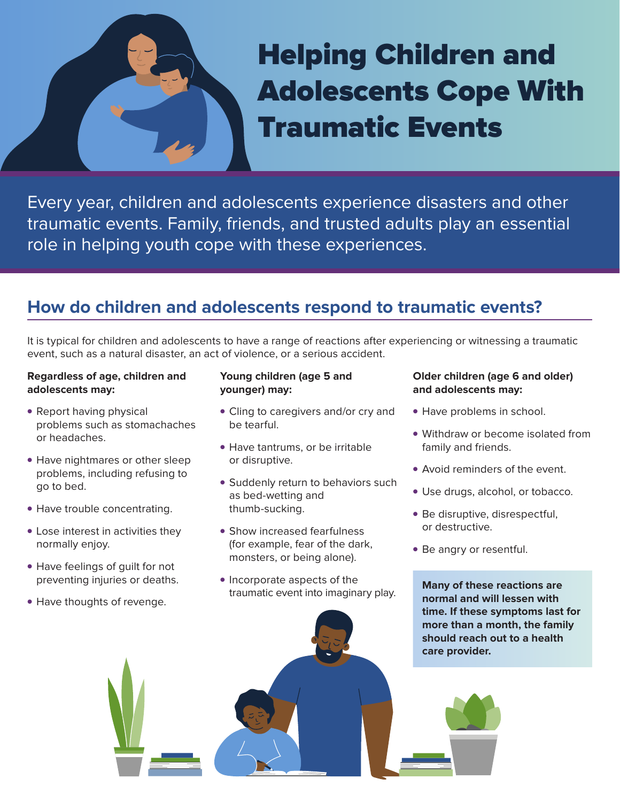# Helping Children and Adolescents Cope With Traumatic Events

Every year, children and adolescents experience disasters and other traumatic events. Family, friends, and trusted adults play an essential role in helping youth cope with these experiences.

### **How do children and adolescents respond to traumatic events?**

It is typical for children and adolescents to have a range of reactions after experiencing or witnessing a traumatic event, such as a natural disaster, an act of violence, or a serious accident.

### **Regardless of age, children and adolescents may:**

- Report having physical problems such as stomachaches or headaches.
- Have nightmares or other sleep problems, including refusing to go to bed.
- Have trouble concentrating.
- Lose interest in activities they normally enjoy.
- Have feelings of guilt for not preventing injuries or deaths.
- Have thoughts of revenge.

### **Young children (age 5 and younger) may:**

- Cling to caregivers and/or cry and be tearful.
- Have tantrums, or be irritable or disruptive.
- Suddenly return to behaviors such as bed-wetting and thumb-sucking.
- Show increased fearfulness (for example, fear of the dark, monsters, or being alone).
- Incorporate aspects of the traumatic event into imaginary play.

### **Older children (age 6 and older) and adolescents may:**

- Have problems in school.
- Withdraw or become isolated from family and friends.
- Avoid reminders of the event.
- Use drugs, alcohol, or tobacco.
- Be disruptive, disrespectful, or destructive.
- Be angry or resentful.

**Many of these reactions are normal and will lessen with time. If these symptoms last for more than a month, the family should reach out to a health care provider.**